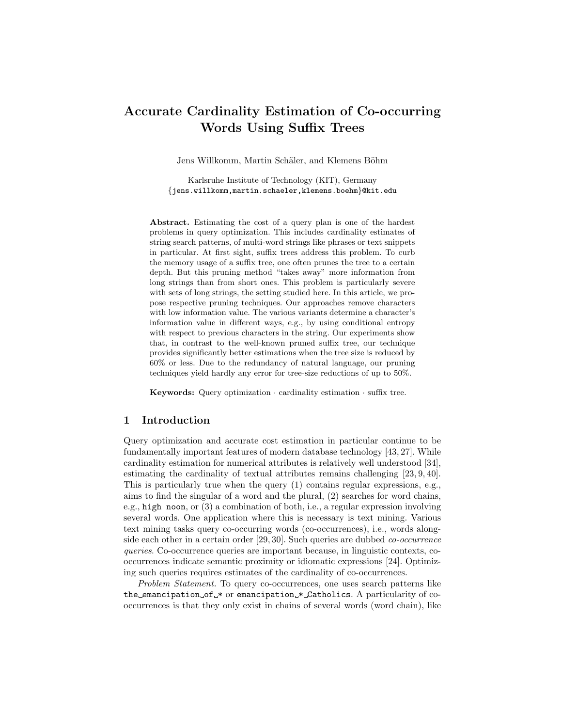# Accurate Cardinality Estimation of Co-occurring Words Using Suffix Trees

Jens Willkomm, Martin Schäler, and Klemens Böhm

Karlsruhe Institute of Technology (KIT), Germany {jens.willkomm,martin.schaeler,klemens.boehm}@kit.edu

Abstract. Estimating the cost of a query plan is one of the hardest problems in query optimization. This includes cardinality estimates of string search patterns, of multi-word strings like phrases or text snippets in particular. At first sight, suffix trees address this problem. To curb the memory usage of a suffix tree, one often prunes the tree to a certain depth. But this pruning method "takes away" more information from long strings than from short ones. This problem is particularly severe with sets of long strings, the setting studied here. In this article, we propose respective pruning techniques. Our approaches remove characters with low information value. The various variants determine a character's information value in different ways, e.g., by using conditional entropy with respect to previous characters in the string. Our experiments show that, in contrast to the well-known pruned suffix tree, our technique provides significantly better estimations when the tree size is reduced by 60% or less. Due to the redundancy of natural language, our pruning techniques yield hardly any error for tree-size reductions of up to 50%.

**Keywords:** Query optimization  $\cdot$  cardinality estimation  $\cdot$  suffix tree.

# 1 Introduction

Query optimization and accurate cost estimation in particular continue to be fundamentally important features of modern database technology [43, 27]. While cardinality estimation for numerical attributes is relatively well understood [34], estimating the cardinality of textual attributes remains challenging [23, 9, 40]. This is particularly true when the query (1) contains regular expressions, e.g., aims to find the singular of a word and the plural, (2) searches for word chains, e.g., high noon, or (3) a combination of both, i.e., a regular expression involving several words. One application where this is necessary is text mining. Various text mining tasks query co-occurring words (co-occurrences), i.e., words alongside each other in a certain order [29, 30]. Such queries are dubbed co-occurrence queries. Co-occurrence queries are important because, in linguistic contexts, cooccurrences indicate semantic proximity or idiomatic expressions [24]. Optimizing such queries requires estimates of the cardinality of co-occurrences.

Problem Statement. To query co-occurrences, one uses search patterns like the emancipation of  $*$  or emancipation  $*$  Catholics. A particularity of cooccurrences is that they only exist in chains of several words (word chain), like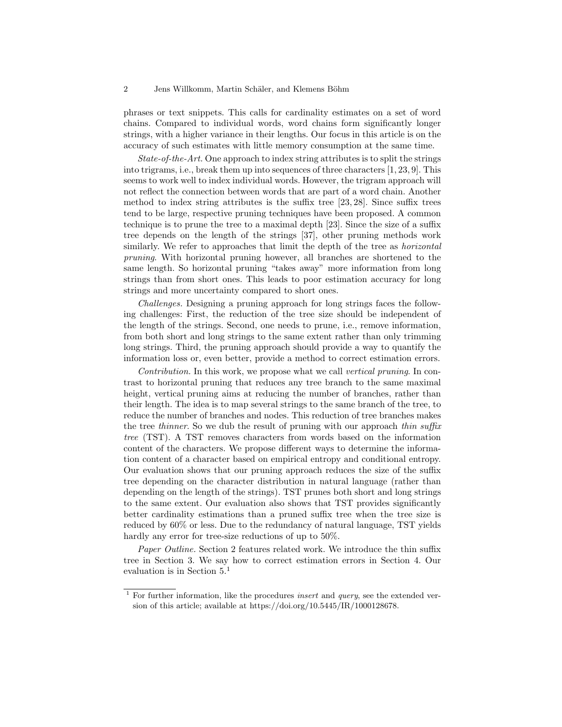#### 2 Jens Willkomm, Martin Schäler, and Klemens Böhm

phrases or text snippets. This calls for cardinality estimates on a set of word chains. Compared to individual words, word chains form significantly longer strings, with a higher variance in their lengths. Our focus in this article is on the accuracy of such estimates with little memory consumption at the same time.

State-of-the-Art. One approach to index string attributes is to split the strings into trigrams, i.e., break them up into sequences of three characters [1, 23, 9]. This seems to work well to index individual words. However, the trigram approach will not reflect the connection between words that are part of a word chain. Another method to index string attributes is the suffix tree [23, 28]. Since suffix trees tend to be large, respective pruning techniques have been proposed. A common technique is to prune the tree to a maximal depth [23]. Since the size of a suffix tree depends on the length of the strings [37], other pruning methods work similarly. We refer to approaches that limit the depth of the tree as *horizontal* pruning. With horizontal pruning however, all branches are shortened to the same length. So horizontal pruning "takes away" more information from long strings than from short ones. This leads to poor estimation accuracy for long strings and more uncertainty compared to short ones.

Challenges. Designing a pruning approach for long strings faces the following challenges: First, the reduction of the tree size should be independent of the length of the strings. Second, one needs to prune, i.e., remove information, from both short and long strings to the same extent rather than only trimming long strings. Third, the pruning approach should provide a way to quantify the information loss or, even better, provide a method to correct estimation errors.

Contribution. In this work, we propose what we call vertical pruning. In contrast to horizontal pruning that reduces any tree branch to the same maximal height, vertical pruning aims at reducing the number of branches, rather than their length. The idea is to map several strings to the same branch of the tree, to reduce the number of branches and nodes. This reduction of tree branches makes the tree *thinner*. So we dub the result of pruning with our approach *thin suffix* tree (TST). A TST removes characters from words based on the information content of the characters. We propose different ways to determine the information content of a character based on empirical entropy and conditional entropy. Our evaluation shows that our pruning approach reduces the size of the suffix tree depending on the character distribution in natural language (rather than depending on the length of the strings). TST prunes both short and long strings to the same extent. Our evaluation also shows that TST provides significantly better cardinality estimations than a pruned suffix tree when the tree size is reduced by 60% or less. Due to the redundancy of natural language, TST yields hardly any error for tree-size reductions of up to 50%.

Paper Outline. Section 2 features related work. We introduce the thin suffix tree in Section 3. We say how to correct estimation errors in Section 4. Our evaluation is in Section 5.<sup>1</sup>

 $1$  For further information, like the procedures *insert* and *query*, see the extended version of this article; available at https://doi.org/10.5445/IR/1000128678.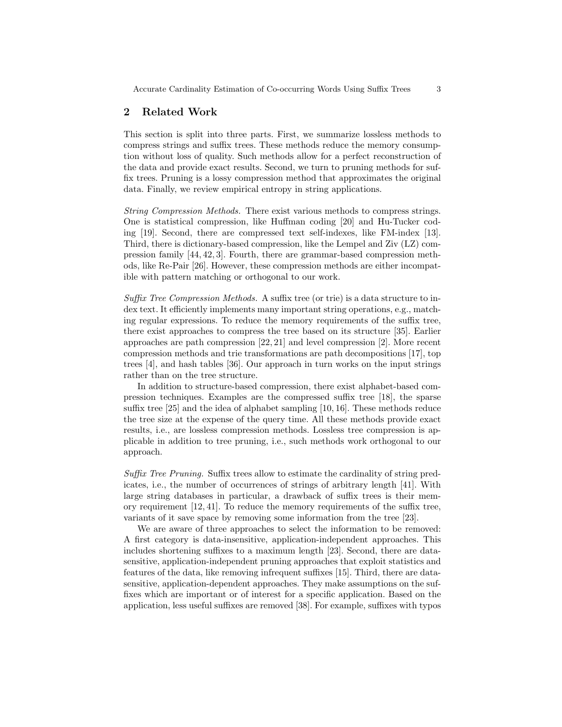# 2 Related Work

This section is split into three parts. First, we summarize lossless methods to compress strings and suffix trees. These methods reduce the memory consumption without loss of quality. Such methods allow for a perfect reconstruction of the data and provide exact results. Second, we turn to pruning methods for suffix trees. Pruning is a lossy compression method that approximates the original data. Finally, we review empirical entropy in string applications.

String Compression Methods. There exist various methods to compress strings. One is statistical compression, like Huffman coding [20] and Hu-Tucker coding [19]. Second, there are compressed text self-indexes, like FM-index [13]. Third, there is dictionary-based compression, like the Lempel and Ziv (LZ) compression family [44, 42, 3]. Fourth, there are grammar-based compression methods, like Re-Pair [26]. However, these compression methods are either incompatible with pattern matching or orthogonal to our work.

Suffix Tree Compression Methods. A suffix tree (or trie) is a data structure to index text. It efficiently implements many important string operations, e.g., matching regular expressions. To reduce the memory requirements of the suffix tree, there exist approaches to compress the tree based on its structure [35]. Earlier approaches are path compression [22, 21] and level compression [2]. More recent compression methods and trie transformations are path decompositions [17], top trees [4], and hash tables [36]. Our approach in turn works on the input strings rather than on the tree structure.

In addition to structure-based compression, there exist alphabet-based compression techniques. Examples are the compressed suffix tree [18], the sparse suffix tree [25] and the idea of alphabet sampling [10, 16]. These methods reduce the tree size at the expense of the query time. All these methods provide exact results, i.e., are lossless compression methods. Lossless tree compression is applicable in addition to tree pruning, i.e., such methods work orthogonal to our approach.

Suffix Tree Pruning. Suffix trees allow to estimate the cardinality of string predicates, i.e., the number of occurrences of strings of arbitrary length [41]. With large string databases in particular, a drawback of suffix trees is their memory requirement [12, 41]. To reduce the memory requirements of the suffix tree, variants of it save space by removing some information from the tree [23].

We are aware of three approaches to select the information to be removed: A first category is data-insensitive, application-independent approaches. This includes shortening suffixes to a maximum length [23]. Second, there are datasensitive, application-independent pruning approaches that exploit statistics and features of the data, like removing infrequent suffixes [15]. Third, there are datasensitive, application-dependent approaches. They make assumptions on the suffixes which are important or of interest for a specific application. Based on the application, less useful suffixes are removed [38]. For example, suffixes with typos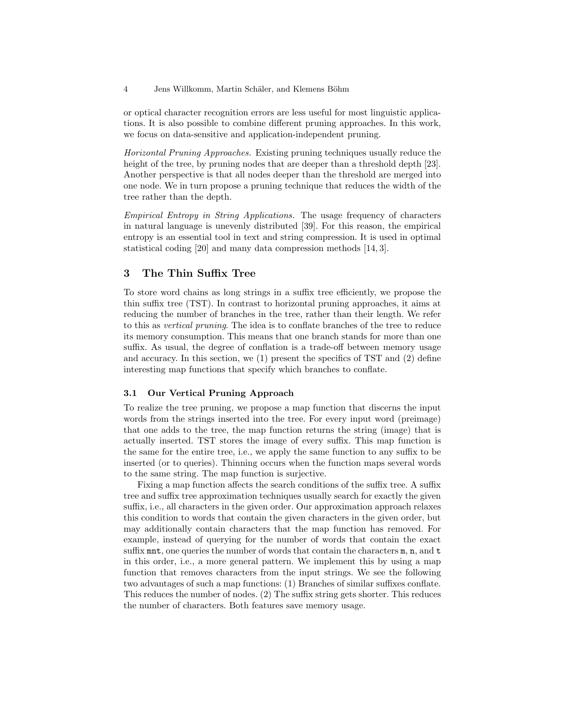or optical character recognition errors are less useful for most linguistic applications. It is also possible to combine different pruning approaches. In this work, we focus on data-sensitive and application-independent pruning.

Horizontal Pruning Approaches. Existing pruning techniques usually reduce the height of the tree, by pruning nodes that are deeper than a threshold depth [23]. Another perspective is that all nodes deeper than the threshold are merged into one node. We in turn propose a pruning technique that reduces the width of the tree rather than the depth.

Empirical Entropy in String Applications. The usage frequency of characters in natural language is unevenly distributed [39]. For this reason, the empirical entropy is an essential tool in text and string compression. It is used in optimal statistical coding [20] and many data compression methods [14, 3].

# 3 The Thin Suffix Tree

To store word chains as long strings in a suffix tree efficiently, we propose the thin suffix tree (TST). In contrast to horizontal pruning approaches, it aims at reducing the number of branches in the tree, rather than their length. We refer to this as vertical pruning. The idea is to conflate branches of the tree to reduce its memory consumption. This means that one branch stands for more than one suffix. As usual, the degree of conflation is a trade-off between memory usage and accuracy. In this section, we (1) present the specifics of TST and (2) define interesting map functions that specify which branches to conflate.

### 3.1 Our Vertical Pruning Approach

To realize the tree pruning, we propose a map function that discerns the input words from the strings inserted into the tree. For every input word (preimage) that one adds to the tree, the map function returns the string (image) that is actually inserted. TST stores the image of every suffix. This map function is the same for the entire tree, i.e., we apply the same function to any suffix to be inserted (or to queries). Thinning occurs when the function maps several words to the same string. The map function is surjective.

Fixing a map function affects the search conditions of the suffix tree. A suffix tree and suffix tree approximation techniques usually search for exactly the given suffix, i.e., all characters in the given order. Our approximation approach relaxes this condition to words that contain the given characters in the given order, but may additionally contain characters that the map function has removed. For example, instead of querying for the number of words that contain the exact suffix mnt, one queries the number of words that contain the characters m, n, and t in this order, i.e., a more general pattern. We implement this by using a map function that removes characters from the input strings. We see the following two advantages of such a map functions: (1) Branches of similar suffixes conflate. This reduces the number of nodes. (2) The suffix string gets shorter. This reduces the number of characters. Both features save memory usage.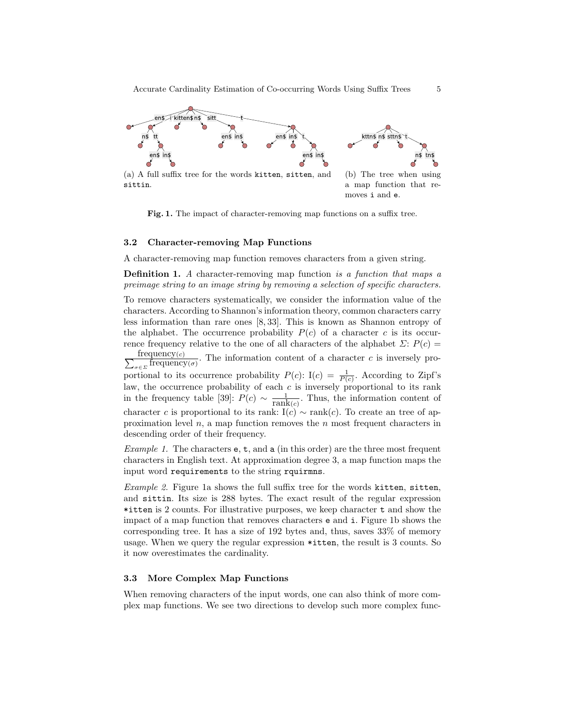

sittin.

(b) The tree when using a map function that removes i and e.

Fig. 1. The impact of character-removing map functions on a suffix tree.

#### 3.2 Character-removing Map Functions

A character-removing map function removes characters from a given string.

Definition 1. A character-removing map function is a function that maps a preimage string to an image string by removing a selection of specific characters.

To remove characters systematically, we consider the information value of the characters. According to Shannon's information theory, common characters carry less information than rare ones [8, 33]. This is known as Shannon entropy of the alphabet. The occurrence probability  $P(c)$  of a character c is its occurrence frequency relative to the one of all characters of the alphabet  $\Sigma: P(c) =$  $\sum$  $frequency(c)$  $\frac{\text{frequency}(c)}{\sigma \in \Sigma}$  frequency( $\sigma$ ). The information content of a character c is inversely proportional to its occurrence probability  $P(c)$ : I(c) =  $\frac{1}{P(c)}$ . According to Zipf's law, the occurrence probability of each c is inversely proportional to its rank in the frequency table [39]:  $P(c) \sim \frac{1}{\text{rank}(c)}$ . Thus, the information content of character c is proportional to its rank:  $I(c) \sim \text{rank}(c)$ . To create an tree of approximation level  $n$ , a map function removes the  $n$  most frequent characters in

*Example 1.* The characters  $e$ ,  $t$ , and  $a$  (in this order) are the three most frequent characters in English text. At approximation degree 3, a map function maps the input word requirements to the string rquirmns.

Example 2. Figure 1a shows the full suffix tree for the words kitten, sitten, and sittin. Its size is 288 bytes. The exact result of the regular expression \*itten is 2 counts. For illustrative purposes, we keep character t and show the impact of a map function that removes characters e and i. Figure 1b shows the corresponding tree. It has a size of 192 bytes and, thus, saves 33% of memory usage. When we query the regular expression \*itten, the result is 3 counts. So it now overestimates the cardinality.

#### 3.3 More Complex Map Functions

descending order of their frequency.

When removing characters of the input words, one can also think of more complex map functions. We see two directions to develop such more complex func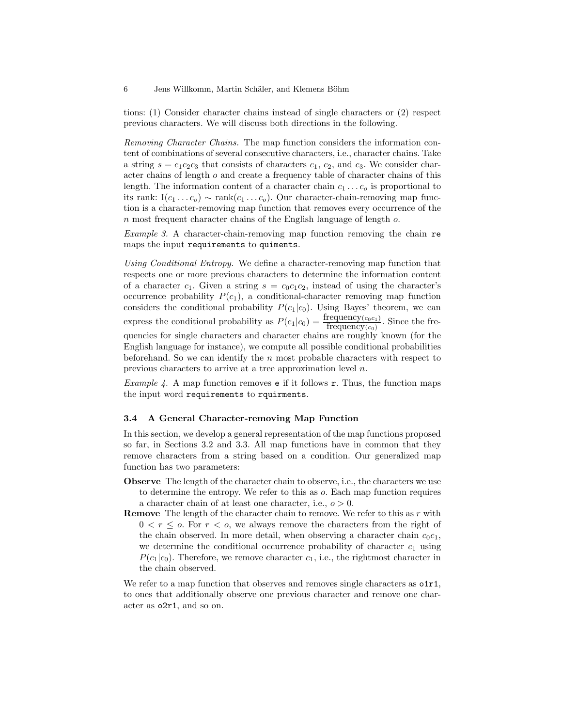tions: (1) Consider character chains instead of single characters or (2) respect previous characters. We will discuss both directions in the following.

Removing Character Chains. The map function considers the information content of combinations of several consecutive characters, i.e., character chains. Take a string  $s = c_1c_2c_3$  that consists of characters  $c_1, c_2$ , and  $c_3$ . We consider character chains of length o and create a frequency table of character chains of this length. The information content of a character chain  $c_1 \ldots c_o$  is proportional to its rank:  $I(c_1 \ldots c_o) \sim \text{rank}(c_1 \ldots c_o)$ . Our character-chain-removing map function is a character-removing map function that removes every occurrence of the n most frequent character chains of the English language of length  $o$ .

Example 3. A character-chain-removing map function removing the chain re maps the input requirements to quiments.

Using Conditional Entropy. We define a character-removing map function that respects one or more previous characters to determine the information content of a character  $c_1$ . Given a string  $s = c_0c_1c_2$ , instead of using the character's occurrence probability  $P(c_1)$ , a conditional-character removing map function considers the conditional probability  $P(c_1|c_0)$ . Using Bayes' theorem, we can express the conditional probability as  $P(c_1|c_0) = \frac{\text{frequency}(c_0c_1)}{\text{frequency}(c_0)}$ . Since the frequencies for single characters and character chains are roughly known (for the English language for instance), we compute all possible conditional probabilities beforehand. So we can identify the  $n$  most probable characters with respect to previous characters to arrive at a tree approximation level n.

*Example 4.* A map function removes  $\mathbf{e}$  if it follows  $\mathbf{r}$ . Thus, the function maps the input word requirements to rquirments.

#### 3.4 A General Character-removing Map Function

In this section, we develop a general representation of the map functions proposed so far, in Sections 3.2 and 3.3. All map functions have in common that they remove characters from a string based on a condition. Our generalized map function has two parameters:

- Observe The length of the character chain to observe, i.e., the characters we use to determine the entropy. We refer to this as o. Each map function requires a character chain of at least one character, i.e.,  $o > 0$ .
- **Remove** The length of the character chain to remove. We refer to this as  $r$  with  $0 < r \leq o$ . For  $r < o$ , we always remove the characters from the right of the chain observed. In more detail, when observing a character chain  $c_0c_1$ , we determine the conditional occurrence probability of character  $c_1$  using  $P(c_1|c_0)$ . Therefore, we remove character  $c_1$ , i.e., the rightmost character in the chain observed.

We refer to a map function that observes and removes single characters as  $\sigma$ 1r1, to ones that additionally observe one previous character and remove one character as o2r1, and so on.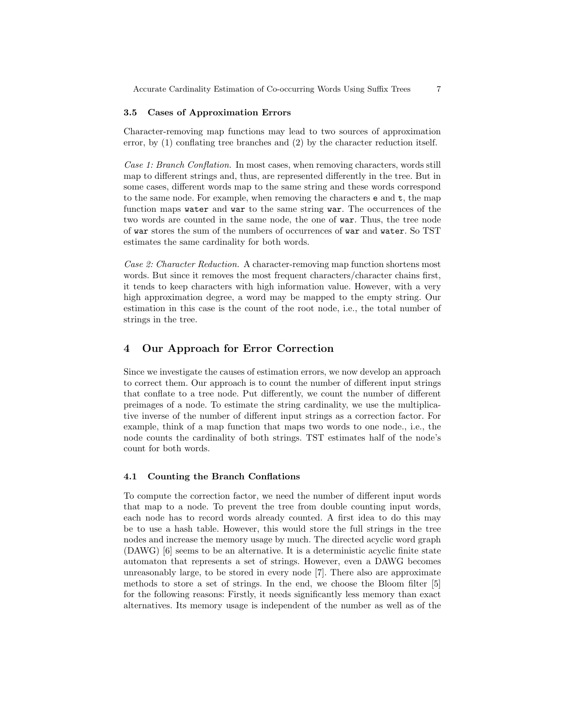#### 3.5 Cases of Approximation Errors

Character-removing map functions may lead to two sources of approximation error, by (1) conflating tree branches and (2) by the character reduction itself.

Case 1: Branch Conflation. In most cases, when removing characters, words still map to different strings and, thus, are represented differently in the tree. But in some cases, different words map to the same string and these words correspond to the same node. For example, when removing the characters e and t, the map function maps water and war to the same string war. The occurrences of the two words are counted in the same node, the one of war. Thus, the tree node of war stores the sum of the numbers of occurrences of war and water. So TST estimates the same cardinality for both words.

Case 2: Character Reduction. A character-removing map function shortens most words. But since it removes the most frequent characters/character chains first, it tends to keep characters with high information value. However, with a very high approximation degree, a word may be mapped to the empty string. Our estimation in this case is the count of the root node, i.e., the total number of strings in the tree.

# 4 Our Approach for Error Correction

Since we investigate the causes of estimation errors, we now develop an approach to correct them. Our approach is to count the number of different input strings that conflate to a tree node. Put differently, we count the number of different preimages of a node. To estimate the string cardinality, we use the multiplicative inverse of the number of different input strings as a correction factor. For example, think of a map function that maps two words to one node., i.e., the node counts the cardinality of both strings. TST estimates half of the node's count for both words.

#### 4.1 Counting the Branch Conflations

To compute the correction factor, we need the number of different input words that map to a node. To prevent the tree from double counting input words, each node has to record words already counted. A first idea to do this may be to use a hash table. However, this would store the full strings in the tree nodes and increase the memory usage by much. The directed acyclic word graph (DAWG) [6] seems to be an alternative. It is a deterministic acyclic finite state automaton that represents a set of strings. However, even a DAWG becomes unreasonably large, to be stored in every node [7]. There also are approximate methods to store a set of strings. In the end, we choose the Bloom filter [5] for the following reasons: Firstly, it needs significantly less memory than exact alternatives. Its memory usage is independent of the number as well as of the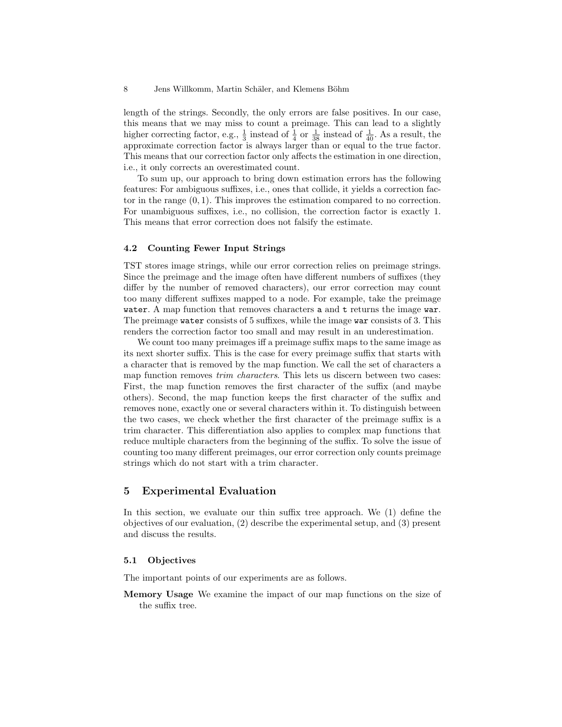length of the strings. Secondly, the only errors are false positives. In our case, this means that we may miss to count a preimage. This can lead to a slightly higher correcting factor, e.g.,  $\frac{1}{3}$  instead of  $\frac{1}{4}$  or  $\frac{1}{38}$  instead of  $\frac{1}{40}$ . As a result, the approximate correction factor is always larger than or equal to the true factor. This means that our correction factor only affects the estimation in one direction, i.e., it only corrects an overestimated count.

To sum up, our approach to bring down estimation errors has the following features: For ambiguous suffixes, i.e., ones that collide, it yields a correction factor in the range (0, 1). This improves the estimation compared to no correction. For unambiguous suffixes, i.e., no collision, the correction factor is exactly 1. This means that error correction does not falsify the estimate.

### 4.2 Counting Fewer Input Strings

TST stores image strings, while our error correction relies on preimage strings. Since the preimage and the image often have different numbers of suffixes (they differ by the number of removed characters), our error correction may count too many different suffixes mapped to a node. For example, take the preimage water. A map function that removes characters a and t returns the image war. The preimage water consists of 5 suffixes, while the image war consists of 3. This renders the correction factor too small and may result in an underestimation.

We count too many preimages iff a preimage suffix maps to the same image as its next shorter suffix. This is the case for every preimage suffix that starts with a character that is removed by the map function. We call the set of characters a map function removes *trim characters*. This lets us discern between two cases: First, the map function removes the first character of the suffix (and maybe others). Second, the map function keeps the first character of the suffix and removes none, exactly one or several characters within it. To distinguish between the two cases, we check whether the first character of the preimage suffix is a trim character. This differentiation also applies to complex map functions that reduce multiple characters from the beginning of the suffix. To solve the issue of counting too many different preimages, our error correction only counts preimage strings which do not start with a trim character.

# 5 Experimental Evaluation

In this section, we evaluate our thin suffix tree approach. We (1) define the objectives of our evaluation, (2) describe the experimental setup, and (3) present and discuss the results.

### 5.1 Objectives

The important points of our experiments are as follows.

Memory Usage We examine the impact of our map functions on the size of the suffix tree.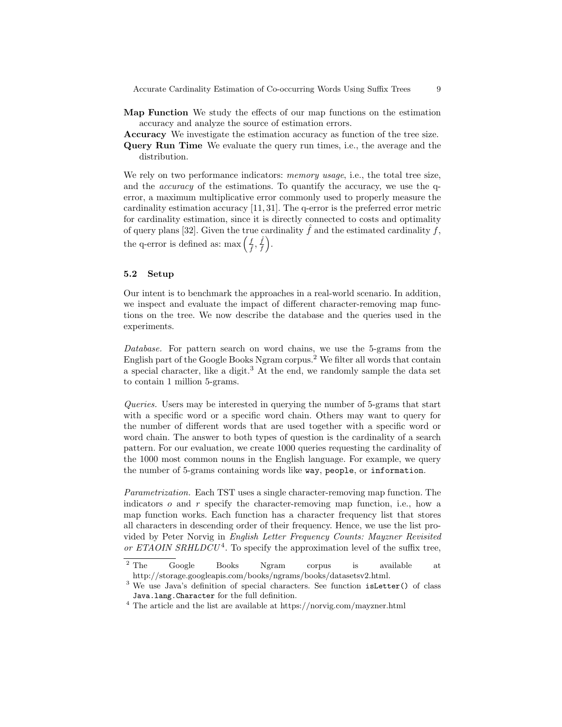Map Function We study the effects of our map functions on the estimation accuracy and analyze the source of estimation errors.

Accuracy We investigate the estimation accuracy as function of the tree size. Query Run Time We evaluate the query run times, i.e., the average and the distribution.

We rely on two performance indicators: *memory usage*, i.e., the total tree size, and the accuracy of the estimations. To quantify the accuracy, we use the qerror, a maximum multiplicative error commonly used to properly measure the cardinality estimation accuracy [11, 31]. The q-error is the preferred error metric for cardinality estimation, since it is directly connected to costs and optimality of query plans [32]. Given the true cardinality  $\hat{f}$  and the estimated cardinality  $\hat{f}$ , the q-error is defined as:  $\max\left(\frac{f}{\hat{f}},\frac{\hat{f}}{f}\right)$ .

### 5.2 Setup

Our intent is to benchmark the approaches in a real-world scenario. In addition, we inspect and evaluate the impact of different character-removing map functions on the tree. We now describe the database and the queries used in the experiments.

Database. For pattern search on word chains, we use the 5-grams from the English part of the Google Books Ngram corpus.<sup>2</sup> We filter all words that contain a special character, like a digit.<sup>3</sup> At the end, we randomly sample the data set to contain 1 million 5-grams.

Queries. Users may be interested in querying the number of 5-grams that start with a specific word or a specific word chain. Others may want to query for the number of different words that are used together with a specific word or word chain. The answer to both types of question is the cardinality of a search pattern. For our evaluation, we create 1000 queries requesting the cardinality of the 1000 most common nouns in the English language. For example, we query the number of 5-grams containing words like way, people, or information.

Parametrization. Each TST uses a single character-removing map function. The indicators  $o$  and  $r$  specify the character-removing map function, i.e., how a map function works. Each function has a character frequency list that stores all characters in descending order of their frequency. Hence, we use the list provided by Peter Norvig in English Letter Frequency Counts: Mayzner Revisited or ETAOIN SRHLDCU<sup>4</sup>. To specify the approximation level of the suffix tree,

<sup>&</sup>lt;sup>2</sup> The Google Books Ngram corpus is available at http://storage.googleapis.com/books/ngrams/books/datasetsv2.html.

<sup>&</sup>lt;sup>3</sup> We use Java's definition of special characters. See function isLetter() of class Java.lang.Character for the full definition.

<sup>4</sup> The article and the list are available at https://norvig.com/mayzner.html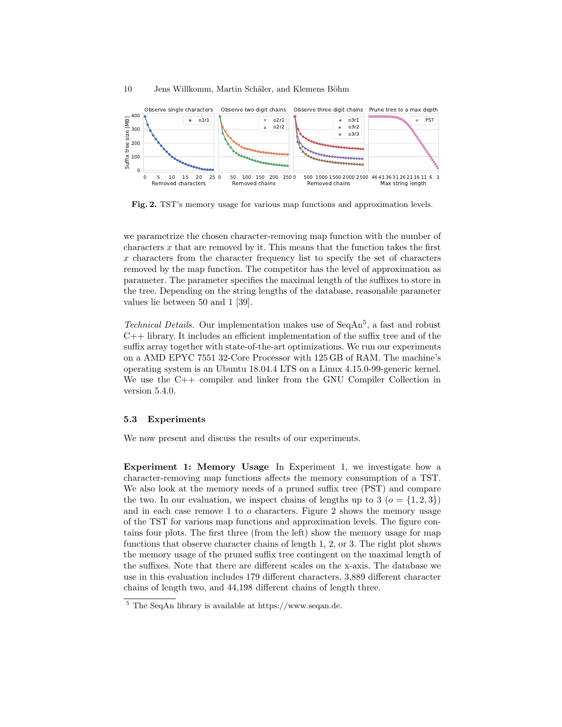

Fig. 2. TST's memory usage for various map functions and approximation levels.

we parametrize the chosen character-removing map function with the number of characters  $x$  that are removed by it. This means that the function takes the first  $x$  characters from the character frequency list to specify the set of characters removed by the map function. The competitor has the level of approximation as parameter. The parameter specifies the maximal length of the suffixes to store in the tree. Depending on the string lengths of the database, reasonable parameter values lie between 50 and 1 [39].

Technical Details. Our implementation makes use of  $SeqAn<sup>5</sup>$ , a fast and robust C++ library. It includes an efficient implementation of the suffix tree and of the suffix array together with state-of-the-art optimizations. We run our experiments on a AMD EPYC 7551 32-Core Processor with 125 GB of RAM. The machine's operating system is an Ubuntu 18.04.4 LTS on a Linux 4.15.0-99-generic kernel. We use the C++ compiler and linker from the GNU Compiler Collection in version 5.4.0.

#### 5.3 Experiments

We now present and discuss the results of our experiments.

Experiment 1: Memory Usage In Experiment 1, we investigate how a character-removing map functions affects the memory consumption of a TST. We also look at the memory needs of a pruned suffix tree (PST) and compare the two. In our evaluation, we inspect chains of lengths up to 3 ( $o = \{1, 2, 3\}$ ) and in each case remove 1 to  $\sigma$  characters. Figure 2 shows the memory usage of the TST for various map functions and approximation levels. The figure contains four plots. The first three (from the left) show the memory usage for map functions that observe character chains of length 1, 2, or 3. The right plot shows the memory usage of the pruned suffix tree contingent on the maximal length of the suffixes. Note that there are different scales on the x-axis. The database we use in this evaluation includes 179 different characters, 3,889 different character chains of length two, and 44,198 different chains of length three.

<sup>5</sup> The SeqAn library is available at https://www.seqan.de.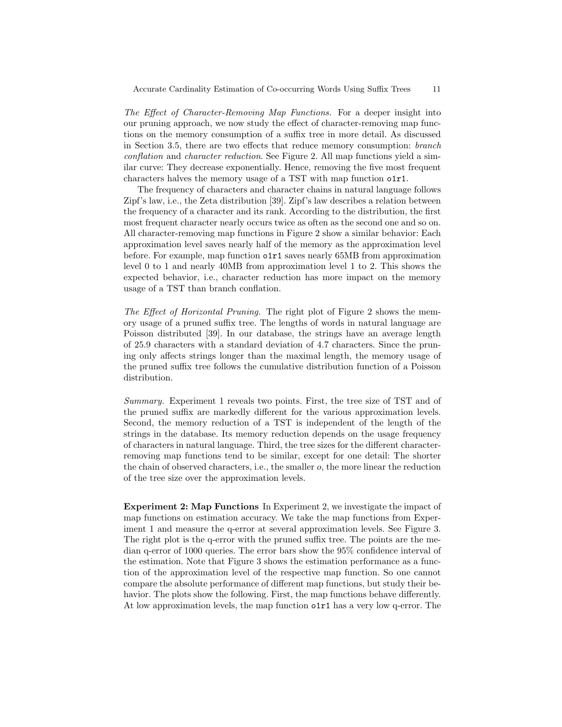The Effect of Character-Removing Map Functions. For a deeper insight into our pruning approach, we now study the effect of character-removing map functions on the memory consumption of a suffix tree in more detail. As discussed in Section 3.5, there are two effects that reduce memory consumption: branch conflation and character reduction. See Figure 2. All map functions yield a similar curve: They decrease exponentially. Hence, removing the five most frequent characters halves the memory usage of a TST with map function o1r1.

The frequency of characters and character chains in natural language follows Zipf's law, i.e., the Zeta distribution [39]. Zipf's law describes a relation between the frequency of a character and its rank. According to the distribution, the first most frequent character nearly occurs twice as often as the second one and so on. All character-removing map functions in Figure 2 show a similar behavior: Each approximation level saves nearly half of the memory as the approximation level before. For example, map function o1r1 saves nearly 65MB from approximation level 0 to 1 and nearly 40MB from approximation level 1 to 2. This shows the expected behavior, i.e., character reduction has more impact on the memory usage of a TST than branch conflation.

The Effect of Horizontal Pruning. The right plot of Figure 2 shows the memory usage of a pruned suffix tree. The lengths of words in natural language are Poisson distributed [39]. In our database, the strings have an average length of 25.9 characters with a standard deviation of 4.7 characters. Since the pruning only affects strings longer than the maximal length, the memory usage of the pruned suffix tree follows the cumulative distribution function of a Poisson distribution.

Summary. Experiment 1 reveals two points. First, the tree size of TST and of the pruned suffix are markedly different for the various approximation levels. Second, the memory reduction of a TST is independent of the length of the strings in the database. Its memory reduction depends on the usage frequency of characters in natural language. Third, the tree sizes for the different characterremoving map functions tend to be similar, except for one detail: The shorter the chain of observed characters, i.e., the smaller o, the more linear the reduction of the tree size over the approximation levels.

Experiment 2: Map Functions In Experiment 2, we investigate the impact of map functions on estimation accuracy. We take the map functions from Experiment 1 and measure the q-error at several approximation levels. See Figure 3. The right plot is the q-error with the pruned suffix tree. The points are the median q-error of 1000 queries. The error bars show the 95% confidence interval of the estimation. Note that Figure 3 shows the estimation performance as a function of the approximation level of the respective map function. So one cannot compare the absolute performance of different map functions, but study their behavior. The plots show the following. First, the map functions behave differently. At low approximation levels, the map function  $\sigma$ 1r1 has a very low q-error. The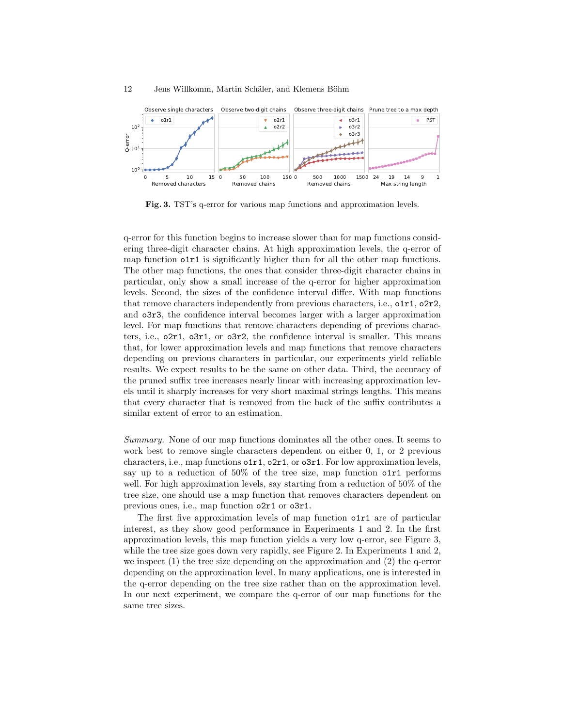

Fig. 3. TST's q-error for various map functions and approximation levels.

q-error for this function begins to increase slower than for map functions considering three-digit character chains. At high approximation levels, the q-error of map function  $\text{d}r1$  is significantly higher than for all the other map functions. The other map functions, the ones that consider three-digit character chains in particular, only show a small increase of the q-error for higher approximation levels. Second, the sizes of the confidence interval differ. With map functions that remove characters independently from previous characters, i.e., o1r1, o2r2, and o3r3, the confidence interval becomes larger with a larger approximation level. For map functions that remove characters depending of previous characters, i.e., o2r1, o3r1, or o3r2, the confidence interval is smaller. This means that, for lower approximation levels and map functions that remove characters depending on previous characters in particular, our experiments yield reliable results. We expect results to be the same on other data. Third, the accuracy of the pruned suffix tree increases nearly linear with increasing approximation levels until it sharply increases for very short maximal strings lengths. This means that every character that is removed from the back of the suffix contributes a similar extent of error to an estimation.

Summary. None of our map functions dominates all the other ones. It seems to work best to remove single characters dependent on either 0, 1, or 2 previous characters, i.e., map functions o1r1, o2r1, or o3r1. For low approximation levels, say up to a reduction of  $50\%$  of the tree size, map function  $\text{o1r1}$  performs well. For high approximation levels, say starting from a reduction of 50% of the tree size, one should use a map function that removes characters dependent on previous ones, i.e., map function o2r1 or o3r1.

The first five approximation levels of map function o1r1 are of particular interest, as they show good performance in Experiments 1 and 2. In the first approximation levels, this map function yields a very low q-error, see Figure 3, while the tree size goes down very rapidly, see Figure 2. In Experiments 1 and 2, we inspect  $(1)$  the tree size depending on the approximation and  $(2)$  the q-error depending on the approximation level. In many applications, one is interested in the q-error depending on the tree size rather than on the approximation level. In our next experiment, we compare the q-error of our map functions for the same tree sizes.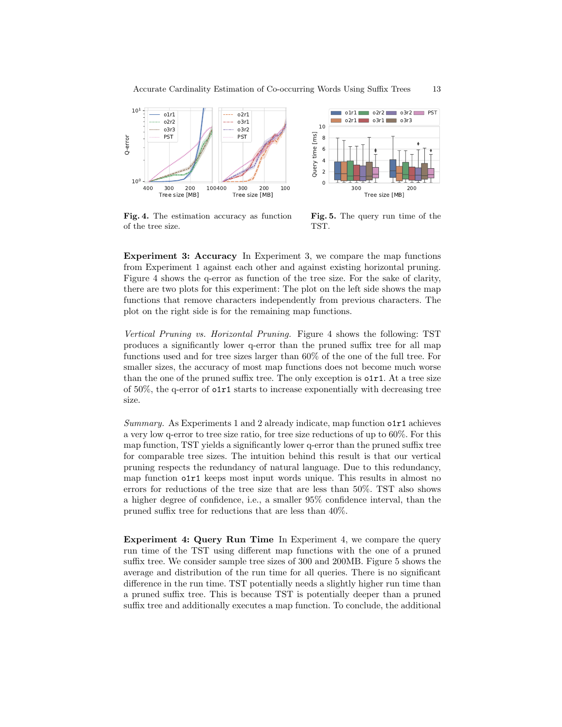

Fig. 4. The estimation accuracy as function of the tree size.

Fig. 5. The query run time of the TST.

Experiment 3: Accuracy In Experiment 3, we compare the map functions from Experiment 1 against each other and against existing horizontal pruning. Figure 4 shows the q-error as function of the tree size. For the sake of clarity, there are two plots for this experiment: The plot on the left side shows the map functions that remove characters independently from previous characters. The plot on the right side is for the remaining map functions.

Vertical Pruning vs. Horizontal Pruning. Figure 4 shows the following: TST produces a significantly lower q-error than the pruned suffix tree for all map functions used and for tree sizes larger than 60% of the one of the full tree. For smaller sizes, the accuracy of most map functions does not become much worse than the one of the pruned suffix tree. The only exception is  $o1r1$ . At a tree size of 50%, the q-error of o1r1 starts to increase exponentially with decreasing tree size.

Summary. As Experiments 1 and 2 already indicate, map function o1r1 achieves a very low q-error to tree size ratio, for tree size reductions of up to 60%. For this map function, TST yields a significantly lower q-error than the pruned suffix tree for comparable tree sizes. The intuition behind this result is that our vertical pruning respects the redundancy of natural language. Due to this redundancy, map function o1r1 keeps most input words unique. This results in almost no errors for reductions of the tree size that are less than 50%. TST also shows a higher degree of confidence, i.e., a smaller 95% confidence interval, than the pruned suffix tree for reductions that are less than 40%.

Experiment 4: Query Run Time In Experiment 4, we compare the query run time of the TST using different map functions with the one of a pruned suffix tree. We consider sample tree sizes of 300 and 200MB. Figure 5 shows the average and distribution of the run time for all queries. There is no significant difference in the run time. TST potentially needs a slightly higher run time than a pruned suffix tree. This is because TST is potentially deeper than a pruned suffix tree and additionally executes a map function. To conclude, the additional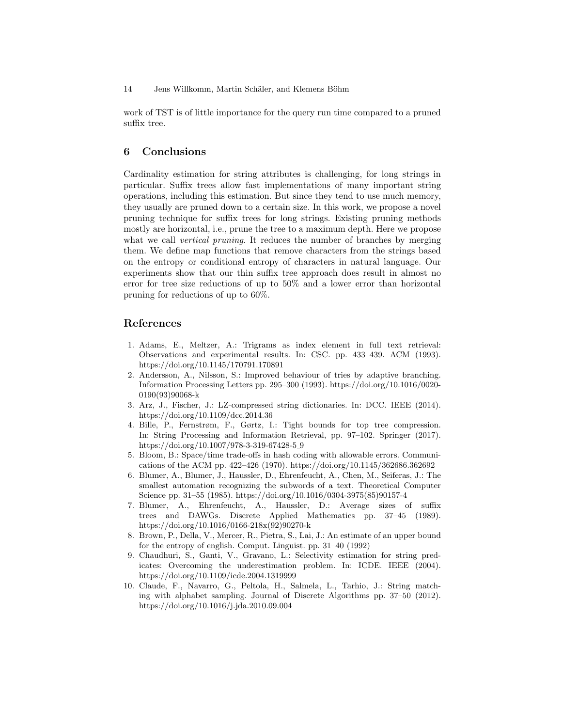14 Jens Willkomm, Martin Schäler, and Klemens Böhm

work of TST is of little importance for the query run time compared to a pruned suffix tree.

# 6 Conclusions

Cardinality estimation for string attributes is challenging, for long strings in particular. Suffix trees allow fast implementations of many important string operations, including this estimation. But since they tend to use much memory, they usually are pruned down to a certain size. In this work, we propose a novel pruning technique for suffix trees for long strings. Existing pruning methods mostly are horizontal, i.e., prune the tree to a maximum depth. Here we propose what we call *vertical pruning*. It reduces the number of branches by merging them. We define map functions that remove characters from the strings based on the entropy or conditional entropy of characters in natural language. Our experiments show that our thin suffix tree approach does result in almost no error for tree size reductions of up to 50% and a lower error than horizontal pruning for reductions of up to 60%.

# References

- 1. Adams, E., Meltzer, A.: Trigrams as index element in full text retrieval: Observations and experimental results. In: CSC. pp. 433–439. ACM (1993). https://doi.org/10.1145/170791.170891
- 2. Andersson, A., Nilsson, S.: Improved behaviour of tries by adaptive branching. Information Processing Letters pp. 295–300 (1993). https://doi.org/10.1016/0020- 0190(93)90068-k
- 3. Arz, J., Fischer, J.: LZ-compressed string dictionaries. In: DCC. IEEE (2014). https://doi.org/10.1109/dcc.2014.36
- 4. Bille, P., Fernstrøm, F., Gørtz, I.: Tight bounds for top tree compression. In: String Processing and Information Retrieval, pp. 97–102. Springer (2017). https://doi.org/10.1007/978-3-319-67428-5 9
- 5. Bloom, B.: Space/time trade-offs in hash coding with allowable errors. Communications of the ACM pp. 422–426 (1970). https://doi.org/10.1145/362686.362692
- 6. Blumer, A., Blumer, J., Haussler, D., Ehrenfeucht, A., Chen, M., Seiferas, J.: The smallest automation recognizing the subwords of a text. Theoretical Computer Science pp. 31–55 (1985). https://doi.org/10.1016/0304-3975(85)90157-4
- 7. Blumer, A., Ehrenfeucht, A., Haussler, D.: Average sizes of suffix trees and DAWGs. Discrete Applied Mathematics pp. 37–45 (1989). https://doi.org/10.1016/0166-218x(92)90270-k
- 8. Brown, P., Della, V., Mercer, R., Pietra, S., Lai, J.: An estimate of an upper bound for the entropy of english. Comput. Linguist. pp. 31–40 (1992)
- 9. Chaudhuri, S., Ganti, V., Gravano, L.: Selectivity estimation for string predicates: Overcoming the underestimation problem. In: ICDE. IEEE (2004). https://doi.org/10.1109/icde.2004.1319999
- 10. Claude, F., Navarro, G., Peltola, H., Salmela, L., Tarhio, J.: String matching with alphabet sampling. Journal of Discrete Algorithms pp. 37–50 (2012). https://doi.org/10.1016/j.jda.2010.09.004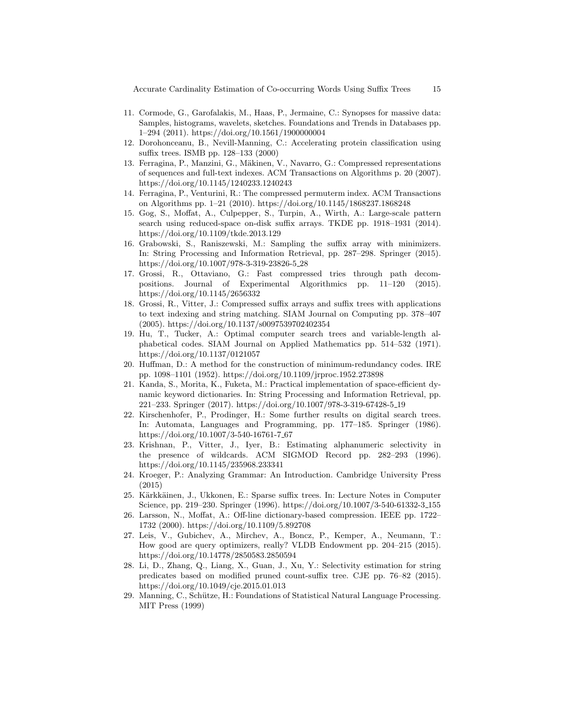Accurate Cardinality Estimation of Co-occurring Words Using Suffix Trees 15

- 11. Cormode, G., Garofalakis, M., Haas, P., Jermaine, C.: Synopses for massive data: Samples, histograms, wavelets, sketches. Foundations and Trends in Databases pp. 1–294 (2011). https://doi.org/10.1561/1900000004
- 12. Dorohonceanu, B., Nevill-Manning, C.: Accelerating protein classification using suffix trees. ISMB pp. 128–133 (2000)
- 13. Ferragina, P., Manzini, G., Mäkinen, V., Navarro, G.: Compressed representations of sequences and full-text indexes. ACM Transactions on Algorithms p. 20 (2007). https://doi.org/10.1145/1240233.1240243
- 14. Ferragina, P., Venturini, R.: The compressed permuterm index. ACM Transactions on Algorithms pp. 1–21 (2010). https://doi.org/10.1145/1868237.1868248
- 15. Gog, S., Moffat, A., Culpepper, S., Turpin, A., Wirth, A.: Large-scale pattern search using reduced-space on-disk suffix arrays. TKDE pp. 1918–1931 (2014). https://doi.org/10.1109/tkde.2013.129
- 16. Grabowski, S., Raniszewski, M.: Sampling the suffix array with minimizers. In: String Processing and Information Retrieval, pp. 287–298. Springer (2015). https://doi.org/10.1007/978-3-319-23826-5 28
- 17. Grossi, R., Ottaviano, G.: Fast compressed tries through path decompositions. Journal of Experimental Algorithmics pp. 11–120 (2015). https://doi.org/10.1145/2656332
- 18. Grossi, R., Vitter, J.: Compressed suffix arrays and suffix trees with applications to text indexing and string matching. SIAM Journal on Computing pp. 378–407 (2005). https://doi.org/10.1137/s0097539702402354
- 19. Hu, T., Tucker, A.: Optimal computer search trees and variable-length alphabetical codes. SIAM Journal on Applied Mathematics pp. 514–532 (1971). https://doi.org/10.1137/0121057
- 20. Huffman, D.: A method for the construction of minimum-redundancy codes. IRE pp. 1098–1101 (1952). https://doi.org/10.1109/jrproc.1952.273898
- 21. Kanda, S., Morita, K., Fuketa, M.: Practical implementation of space-efficient dynamic keyword dictionaries. In: String Processing and Information Retrieval, pp. 221–233. Springer (2017). https://doi.org/10.1007/978-3-319-67428-5 19
- 22. Kirschenhofer, P., Prodinger, H.: Some further results on digital search trees. In: Automata, Languages and Programming, pp. 177–185. Springer (1986). https://doi.org/10.1007/3-540-16761-7 67
- 23. Krishnan, P., Vitter, J., Iyer, B.: Estimating alphanumeric selectivity in the presence of wildcards. ACM SIGMOD Record pp. 282–293 (1996). https://doi.org/10.1145/235968.233341
- 24. Kroeger, P.: Analyzing Grammar: An Introduction. Cambridge University Press (2015)
- 25. Kärkkäinen, J., Ukkonen, E.: Sparse suffix trees. In: Lecture Notes in Computer Science, pp. 219–230. Springer (1996). https://doi.org/10.1007/3-540-61332-3 155
- 26. Larsson, N., Moffat, A.: Off-line dictionary-based compression. IEEE pp. 1722– 1732 (2000). https://doi.org/10.1109/5.892708
- 27. Leis, V., Gubichev, A., Mirchev, A., Boncz, P., Kemper, A., Neumann, T.: How good are query optimizers, really? VLDB Endowment pp. 204–215 (2015). https://doi.org/10.14778/2850583.2850594
- 28. Li, D., Zhang, Q., Liang, X., Guan, J., Xu, Y.: Selectivity estimation for string predicates based on modified pruned count-suffix tree. CJE pp. 76–82 (2015). https://doi.org/10.1049/cje.2015.01.013
- 29. Manning, C., Schütze, H.: Foundations of Statistical Natural Language Processing. MIT Press (1999)